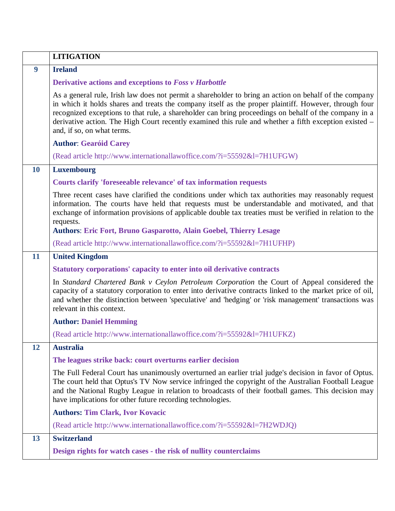|    | <b>LITIGATION</b>                                                                                                                                                                                                                                                                                                                                                                                                                                               |
|----|-----------------------------------------------------------------------------------------------------------------------------------------------------------------------------------------------------------------------------------------------------------------------------------------------------------------------------------------------------------------------------------------------------------------------------------------------------------------|
| 9  | <b>Ireland</b>                                                                                                                                                                                                                                                                                                                                                                                                                                                  |
|    | Derivative actions and exceptions to Foss v Harbottle                                                                                                                                                                                                                                                                                                                                                                                                           |
|    | As a general rule, Irish law does not permit a shareholder to bring an action on behalf of the company<br>in which it holds shares and treats the company itself as the proper plaintiff. However, through four<br>recognized exceptions to that rule, a shareholder can bring proceedings on behalf of the company in a<br>derivative action. The High Court recently examined this rule and whether a fifth exception existed -<br>and, if so, on what terms. |
|    | <b>Author: Gearóid Carey</b>                                                                                                                                                                                                                                                                                                                                                                                                                                    |
|    | (Read article http://www.internationallawoffice.com/?i=55592&l=7H1UFGW)                                                                                                                                                                                                                                                                                                                                                                                         |
| 10 | <b>Luxembourg</b>                                                                                                                                                                                                                                                                                                                                                                                                                                               |
|    | Courts clarify 'foreseeable relevance' of tax information requests                                                                                                                                                                                                                                                                                                                                                                                              |
|    | Three recent cases have clarified the conditions under which tax authorities may reasonably request<br>information. The courts have held that requests must be understandable and motivated, and that<br>exchange of information provisions of applicable double tax treaties must be verified in relation to the<br>requests.                                                                                                                                  |
|    | <b>Authors: Eric Fort, Bruno Gasparotto, Alain Goebel, Thierry Lesage</b>                                                                                                                                                                                                                                                                                                                                                                                       |
|    | (Read article http://www.internationallawoffice.com/?i=55592&l=7H1UFHP)                                                                                                                                                                                                                                                                                                                                                                                         |
| 11 | <b>United Kingdom</b>                                                                                                                                                                                                                                                                                                                                                                                                                                           |
|    | Statutory corporations' capacity to enter into oil derivative contracts                                                                                                                                                                                                                                                                                                                                                                                         |
|    | In Standard Chartered Bank v Ceylon Petroleum Corporation the Court of Appeal considered the<br>capacity of a statutory corporation to enter into derivative contracts linked to the market price of oil,<br>and whether the distinction between 'speculative' and 'hedging' or 'risk management' transactions was<br>relevant in this context.                                                                                                                 |
|    | <b>Author: Daniel Hemming</b>                                                                                                                                                                                                                                                                                                                                                                                                                                   |
|    | (Read article http://www.internationallawoffice.com/?i=55592&l=7H1UFKZ)                                                                                                                                                                                                                                                                                                                                                                                         |
| 12 | <b>Australia</b>                                                                                                                                                                                                                                                                                                                                                                                                                                                |
|    | The leagues strike back: court overturns earlier decision                                                                                                                                                                                                                                                                                                                                                                                                       |
|    | The Full Federal Court has unanimously overturned an earlier trial judge's decision in favor of Optus.<br>The court held that Optus's TV Now service infringed the copyright of the Australian Football League<br>and the National Rugby League in relation to broadcasts of their football games. This decision may<br>have implications for other future recording technologies.                                                                              |
|    | <b>Authors: Tim Clark, Ivor Kovacic</b>                                                                                                                                                                                                                                                                                                                                                                                                                         |
|    | (Read article http://www.internationallawoffice.com/?i=55592&l=7H2WDJQ)                                                                                                                                                                                                                                                                                                                                                                                         |
| 13 | <b>Switzerland</b>                                                                                                                                                                                                                                                                                                                                                                                                                                              |
|    | Design rights for watch cases - the risk of nullity counterclaims                                                                                                                                                                                                                                                                                                                                                                                               |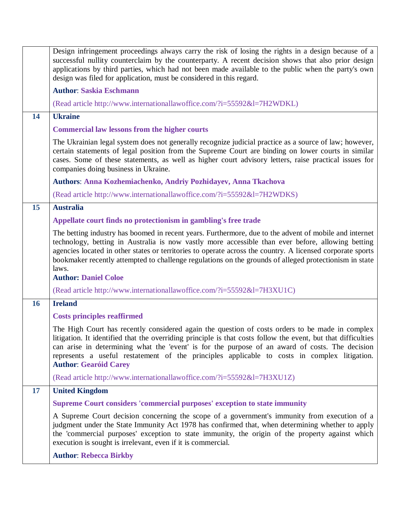|           | Design infringement proceedings always carry the risk of losing the rights in a design because of a<br>successful nullity counterclaim by the counterparty. A recent decision shows that also prior design<br>applications by third parties, which had not been made available to the public when the party's own<br>design was filed for application, must be considered in this regard.                                                           |
|-----------|-----------------------------------------------------------------------------------------------------------------------------------------------------------------------------------------------------------------------------------------------------------------------------------------------------------------------------------------------------------------------------------------------------------------------------------------------------|
|           | <b>Author: Saskia Eschmann</b>                                                                                                                                                                                                                                                                                                                                                                                                                      |
|           | (Read article http://www.internationallawoffice.com/?i=55592&l=7H2WDKL)                                                                                                                                                                                                                                                                                                                                                                             |
| 14        | <b>Ukraine</b>                                                                                                                                                                                                                                                                                                                                                                                                                                      |
|           | <b>Commercial law lessons from the higher courts</b>                                                                                                                                                                                                                                                                                                                                                                                                |
|           | The Ukrainian legal system does not generally recognize judicial practice as a source of law; however,<br>certain statements of legal position from the Supreme Court are binding on lower courts in similar<br>cases. Some of these statements, as well as higher court advisory letters, raise practical issues for<br>companies doing business in Ukraine.                                                                                       |
|           | Authors: Anna Kozhemiachenko, Andriy Pozhidayev, Anna Tkachova                                                                                                                                                                                                                                                                                                                                                                                      |
|           | (Read article http://www.internationallawoffice.com/?i=55592&l=7H2WDKS)                                                                                                                                                                                                                                                                                                                                                                             |
| 15        | <b>Australia</b>                                                                                                                                                                                                                                                                                                                                                                                                                                    |
|           | Appellate court finds no protectionism in gambling's free trade                                                                                                                                                                                                                                                                                                                                                                                     |
|           | The betting industry has boomed in recent years. Furthermore, due to the advent of mobile and internet<br>technology, betting in Australia is now vastly more accessible than ever before, allowing betting<br>agencies located in other states or territories to operate across the country. A licensed corporate sports<br>bookmaker recently attempted to challenge regulations on the grounds of alleged protectionism in state<br>laws.        |
|           | <b>Author: Daniel Coloe</b>                                                                                                                                                                                                                                                                                                                                                                                                                         |
|           | (Read article http://www.internationallawoffice.com/?i=55592&l=7H3XU1C)                                                                                                                                                                                                                                                                                                                                                                             |
| <b>16</b> | <b>Ireland</b>                                                                                                                                                                                                                                                                                                                                                                                                                                      |
|           | <b>Costs principles reaffirmed</b>                                                                                                                                                                                                                                                                                                                                                                                                                  |
|           | The High Court has recently considered again the question of costs orders to be made in complex<br>litigation. It identified that the overriding principle is that costs follow the event, but that difficulties<br>can arise in determining what the 'event' is for the purpose of an award of costs. The decision<br>represents a useful restatement of the principles applicable to costs in complex litigation.<br><b>Author: Gearóid Carey</b> |
|           | (Read article http://www.internationallawoffice.com/?i=55592&l=7H3XU1Z)                                                                                                                                                                                                                                                                                                                                                                             |
| 17        | <b>United Kingdom</b>                                                                                                                                                                                                                                                                                                                                                                                                                               |
|           | <b>Supreme Court considers 'commercial purposes' exception to state immunity</b>                                                                                                                                                                                                                                                                                                                                                                    |
|           | A Supreme Court decision concerning the scope of a government's immunity from execution of a<br>judgment under the State Immunity Act 1978 has confirmed that, when determining whether to apply<br>the 'commercial purposes' exception to state immunity, the origin of the property against which<br>execution is sought is irrelevant, even if it is commercial.                                                                                 |
|           | <b>Author: Rebecca Birkby</b>                                                                                                                                                                                                                                                                                                                                                                                                                       |